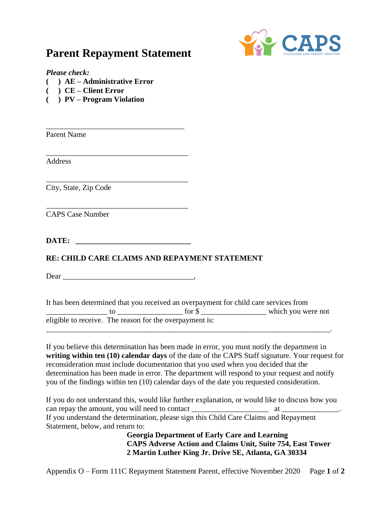## **Parent Repayment Statement**

\_\_\_\_\_\_\_\_\_\_\_\_\_\_\_\_\_\_\_\_\_\_\_\_\_\_\_\_\_\_\_\_\_\_\_\_

\_\_\_\_\_\_\_\_\_\_\_\_\_\_\_\_\_\_\_\_\_\_\_\_\_\_\_\_\_\_\_\_\_\_\_\_\_

\_\_\_\_\_\_\_\_\_\_\_\_\_\_\_\_\_\_\_\_\_\_\_\_\_\_\_\_\_\_\_\_\_\_\_\_\_



*Please check:*

- **( ) AE – Administrative Error**
- **( ) CE – Client Error**
- **( ) PV – Program Violation**

Parent Name

Address

City, State, Zip Code

\_\_\_\_\_\_\_\_\_\_\_\_\_\_\_\_\_\_\_\_\_\_\_\_\_\_\_\_\_\_\_\_\_\_\_\_\_ CAPS Case Number

**DATE: \_\_\_\_\_\_\_\_\_\_\_\_\_\_\_\_\_\_\_\_\_\_\_\_\_\_\_\_\_\_**

## **RE: CHILD CARE CLAIMS AND REPAYMENT STATEMENT**

Dear the contract of the contract of the contract of the contract of the contract of the contract of the contract of the contract of the contract of the contract of the contract of the contract of the contract of the contr

It has been determined that you received an overpayment for child care services from \_\_\_\_\_\_\_\_\_\_\_\_\_\_\_\_ to \_\_\_\_\_\_\_\_\_\_\_\_\_\_\_\_\_ for \$ \_\_\_\_\_\_\_\_\_\_\_\_\_\_\_\_\_ which you were not eligible to receive. The reason for the overpayment is: \_\_\_\_\_\_\_\_\_\_\_\_\_\_\_\_\_\_\_\_\_\_\_\_\_\_\_\_\_\_\_\_\_\_\_\_\_\_\_\_\_\_\_\_\_\_\_\_\_\_\_\_\_\_\_\_\_\_\_\_\_\_\_\_\_\_\_\_\_\_\_\_\_\_.

If you believe this determination has been made in error, you must notify the department in **writing within ten (10) calendar days** of the date of the CAPS Staff signature. Your request for reconsideration must include documentation that you used when you decided that the determination has been made in error. The department will respond to your request and notify you of the findings within ten (10) calendar days of the date you requested consideration.

If you do not understand this, would like further explanation, or would like to discuss how you can repay the amount, you will need to contact \_\_\_\_\_\_\_\_\_\_\_\_\_\_\_\_\_\_\_\_ at \_\_\_\_\_\_\_\_\_\_\_\_\_\_\_. If you understand the determination, please sign this Child Care Claims and Repayment Statement, below, and return to:

**Georgia Department of Early Care and Learning CAPS Adverse Action and Claims Unit, Suite 754, East Tower 2 Martin Luther King Jr. Drive SE, Atlanta, GA 30334**